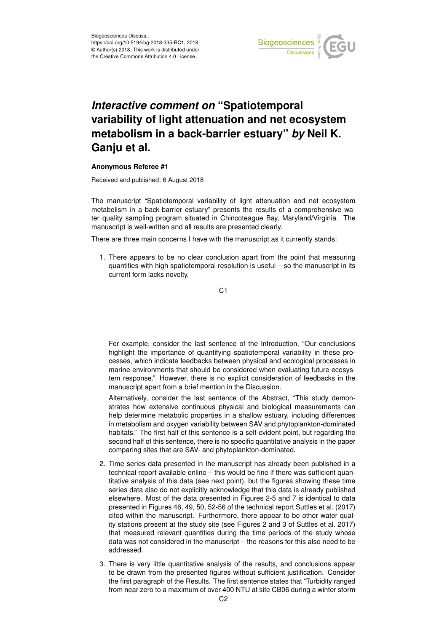

## *Interactive comment on* **"Spatiotemporal variability of light attenuation and net ecosystem metabolism in a back-barrier estuary"** *by* **Neil K. Ganju et al.**

## **Anonymous Referee #1**

Received and published: 6 August 2018

The manuscript "Spatiotemporal variability of light attenuation and net ecosystem metabolism in a back-barrier estuary" presents the results of a comprehensive water quality sampling program situated in Chincoteague Bay, Maryland/Virginia. The manuscript is well-written and all results are presented clearly.

There are three main concerns I have with the manuscript as it currently stands:

1. There appears to be no clear conclusion apart from the point that measuring quantities with high spatiotemporal resolution is useful – so the manuscript in its current form lacks novelty.

C<sub>1</sub>

For example, consider the last sentence of the Introduction, "Our conclusions highlight the importance of quantifying spatiotemporal variability in these processes, which indicate feedbacks between physical and ecological processes in marine environments that should be considered when evaluating future ecosystem response." However, there is no explicit consideration of feedbacks in the manuscript apart from a brief mention in the Discussion.

Alternatively, consider the last sentence of the Abstract, "This study demonstrates how extensive continuous physical and biological measurements can help determine metabolic properties in a shallow estuary, including differences in metabolism and oxygen variability between SAV and phytoplankton-dominated habitats." The first half of this sentence is a self-evident point, but regarding the second half of this sentence, there is no specific quantitative analysis in the paper comparing sites that are SAV- and phytoplankton-dominated.

- 2. Time series data presented in the manuscript has already been published in a technical report available online – this would be fine if there was sufficient quantitative analysis of this data (see next point), but the figures showing these time series data also do not explicitly acknowledge that this data is already published elsewhere. Most of the data presented in Figures 2-5 and 7 is identical to data presented in Figures 46, 49, 50, 52-56 of the technical report Suttles et al. (2017) cited within the manuscript. Furthermore, there appear to be other water quality stations present at the study site (see Figures 2 and 3 of Suttles et al. 2017) that measured relevant quantities during the time periods of the study whose data was not considered in the manuscript – the reasons for this also need to be addressed.
- 3. There is very little quantitative analysis of the results, and conclusions appear to be drawn from the presented figures without sufficient justification. Consider the first paragraph of the Results. The first sentence states that "Turbidity ranged from near zero to a maximum of over 400 NTU at site CB06 during a winter storm